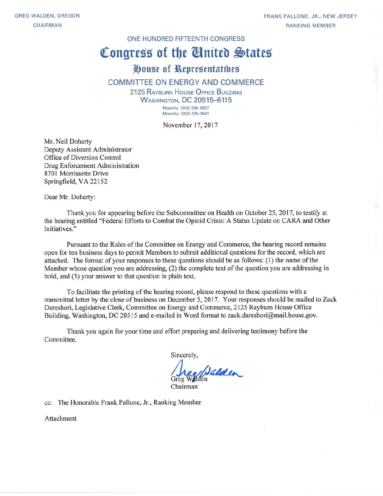FRANK PALLONE, JR., NEW JERSEY **RANKING MEMBER** 

#### ONE HUNDRED FIFTEENTH CONGRESS

# Congress of the United States

## House of Representatives

#### COMMITTEE ON ENERGY AND COMMERCE

2125 RAYBURN HOUSE OFFICE BUILDING **WASHINGTON, DC 20515-6115** Majority (202) 225-2927 Minority (202) 225-3641

November 17, 2017

Mr. Neil Doherty Deputy Assistant Administrator Office of Diversion Control Drug Enforcement Administration 8701 Morrissette Drive Springfield, VA 22152

Dear Mr. Doherty:

Thank you for appearing before the Subcommittee on Health on October 25, 2017, to testify at the hearing entitled "Federal Efforts to Combat the Opioid Crisis: A Status Update on CARA and Other Initiatives."

Pursuant to the Rules of the Committee on Energy and Commerce, the hearing record remains open for ten business days to permit Members to submit additional questions for the record, which are attached. The format of your responses to these questions should be as follows: (1) the name of the Member whose question you are addressing, (2) the complete text of the question you are addressing in bold, and (3) your answer to that question in plain text.

To facilitate the printing of the hearing record, please respond to these questions with a transmittal letter by the close of business on December 5, 2017. Your responses should be mailed to Zack Dareshori, Legislative Clerk, Committee on Energy and Commerce, 2125 Rayburn House Office Building, Washington, DC 20515 and e-mailed in Word format to zack.dareshori@mail.house.gov.

Thank you again for your time and effort preparing and delivering testimony before the Committee.

Sincerely,

Wilder

Chairman

cc: The Honorable Frank Pallone, Jr., Ranking Member

Attachment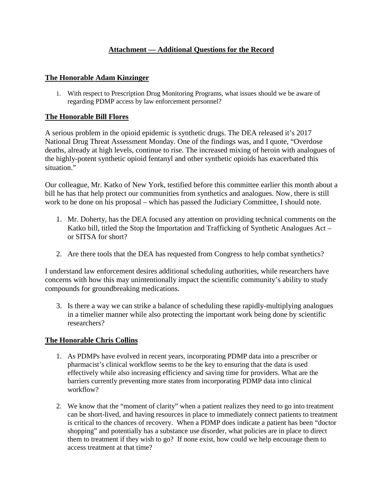### **Attachment — Additional Questions for the Record**

#### **The Honorable Adam Kinzinger**

1. With respect to Prescription Drug Monitoring Programs, what issues should we be aware of regarding PDMP access by law enforcement personnel?

#### **The Honorable Bill Flores**

A serious problem in the opioid epidemic is synthetic drugs. The DEA released it's 2017 National Drug Threat Assessment Monday. One of the findings was, and I quote, "Overdose deaths, already at high levels, continue to rise. The increased mixing of heroin with analogues of the highly-potent synthetic opioid fentanyl and other synthetic opioids has exacerbated this situation."

Our colleague, Mr. Katko of New York, testified before this committee earlier this month about a bill he has that help protect our communities from synthetics and analogues. Now, there is still work to be done on his proposal – which has passed the Judiciary Committee, I should note.

- 1. Mr. Doherty, has the DEA focused any attention on providing technical comments on the Katko bill, titled the Stop the Importation and Trafficking of Synthetic Analogues Act – or SITSA for short?
- 2. Are there tools that the DEA has requested from Congress to help combat synthetics?

I understand law enforcement desires additional scheduling authorities, while researchers have concerns with how this may unintentionally impact the scientific community's ability to study compounds for groundbreaking medications.

3. Is there a way we can strike a balance of scheduling these rapidly-multiplying analogues in a timelier manner while also protecting the important work being done by scientific researchers?

#### **The Honorable Chris Collins**

- 1. As PDMPs have evolved in recent years, incorporating PDMP data into a prescriber or pharmacist's clinical workflow seems to be the key to ensuring that the data is used effectively while also increasing efficiency and saving time for providers. What are the barriers currently preventing more states from incorporating PDMP data into clinical workflow?
- 2. We know that the "moment of clarity" when a patient realizes they need to go into treatment can be short-lived, and having resources in place to immediately connect patients to treatment is critical to the chances of recovery. When a PDMP does indicate a patient has been "doctor shopping" and potentially has a substance use disorder, what policies are in place to direct them to treatment if they wish to go? If none exist, how could we help encourage them to access treatment at that time?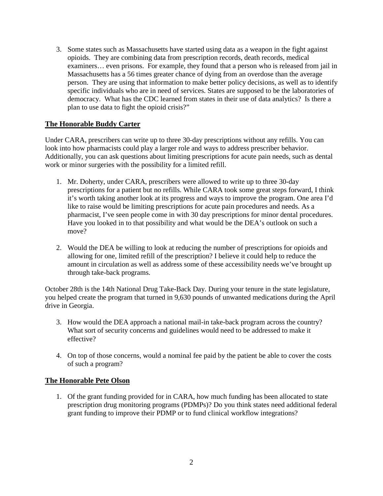3. Some states such as Massachusetts have started using data as a weapon in the fight against opioids. They are combining data from prescription records, death records, medical examiners… even prisons. For example, they found that a person who is released from jail in Massachusetts has a 56 times greater chance of dying from an overdose than the average person. They are using that information to make better policy decisions, as well as to identify specific individuals who are in need of services. States are supposed to be the laboratories of democracy. What has the CDC learned from states in their use of data analytics? Is there a plan to use data to fight the opioid crisis?"

#### **The Honorable Buddy Carter**

Under CARA, prescribers can write up to three 30-day prescriptions without any refills. You can look into how pharmacists could play a larger role and ways to address prescriber behavior. Additionally, you can ask questions about limiting prescriptions for acute pain needs, such as dental work or minor surgeries with the possibility for a limited refill.

- 1. Mr. Doherty, under CARA, prescribers were allowed to write up to three 30-day prescriptions for a patient but no refills. While CARA took some great steps forward, I think it's worth taking another look at its progress and ways to improve the program. One area I'd like to raise would be limiting prescriptions for acute pain procedures and needs. As a pharmacist, I've seen people come in with 30 day prescriptions for minor dental procedures. Have you looked in to that possibility and what would be the DEA's outlook on such a move?
- 2. Would the DEA be willing to look at reducing the number of prescriptions for opioids and allowing for one, limited refill of the prescription? I believe it could help to reduce the amount in circulation as well as address some of these accessibility needs we've brought up through take-back programs.

October 28th is the 14th National Drug Take-Back Day. During your tenure in the state legislature, you helped create the program that turned in 9,630 pounds of unwanted medications during the April drive in Georgia.

- 3. How would the DEA approach a national mail-in take-back program across the country? What sort of security concerns and guidelines would need to be addressed to make it effective?
- 4. On top of those concerns, would a nominal fee paid by the patient be able to cover the costs of such a program?

#### **The Honorable Pete Olson**

1. Of the grant funding provided for in CARA, how much funding has been allocated to state prescription drug monitoring programs (PDMPs)? Do you think states need additional federal grant funding to improve their PDMP or to fund clinical workflow integrations?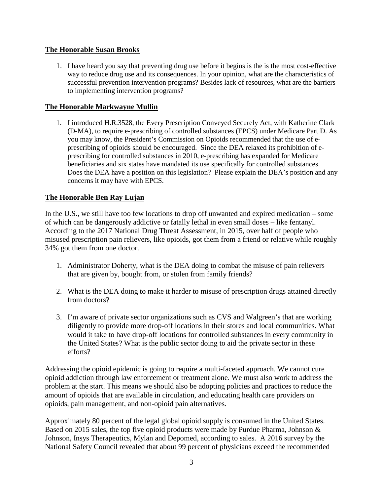#### **The Honorable Susan Brooks**

1. I have heard you say that preventing drug use before it begins is the is the most cost-effective way to reduce drug use and its consequences. In your opinion, what are the characteristics of successful prevention intervention programs? Besides lack of resources, what are the barriers to implementing intervention programs?

### **The Honorable Markwayne Mullin**

1. I introduced H.R.3528, the Every Prescription Conveyed Securely Act, with Katherine Clark (D-MA), to require e-prescribing of controlled substances (EPCS) under Medicare Part D. As you may know, the President's Commission on Opioids recommended that the use of eprescribing of opioids should be encouraged. Since the DEA relaxed its prohibition of eprescribing for controlled substances in 2010, e-prescribing has expanded for Medicare beneficiaries and six states have mandated its use specifically for controlled substances. Does the DEA have a position on this legislation? Please explain the DEA's position and any concerns it may have with EPCS.

### **The Honorable Ben Ray Lujan**

In the U.S., we still have too few locations to drop off unwanted and expired medication – some of which can be dangerously addictive or fatally lethal in even small doses – like fentanyl. According to the 2017 National Drug Threat Assessment, in 2015, over half of people who misused prescription pain relievers, like opioids, got them from a friend or relative while roughly 34% got them from one doctor.

- 1. Administrator Doherty, what is the DEA doing to combat the misuse of pain relievers that are given by, bought from, or stolen from family friends?
- 2. What is the DEA doing to make it harder to misuse of prescription drugs attained directly from doctors?
- 3. I'm aware of private sector organizations such as CVS and Walgreen's that are working diligently to provide more drop-off locations in their stores and local communities. What would it take to have drop-off locations for controlled substances in every community in the United States? What is the public sector doing to aid the private sector in these efforts?

Addressing the opioid epidemic is going to require a multi-faceted approach. We cannot cure opioid addiction through law enforcement or treatment alone. We must also work to address the problem at the start. This means we should also be adopting policies and practices to reduce the amount of opioids that are available in circulation, and educating health care providers on opioids, pain management, and non-opioid pain alternatives.

Approximately 80 percent of the legal global opioid supply is consumed in the United States. Based on 2015 sales, the top five opioid products were made by Purdue Pharma, Johnson & Johnson, Insys Therapeutics, Mylan and Depomed, according to sales. A 2016 survey by the National Safety Council revealed that about 99 percent of physicians exceed the recommended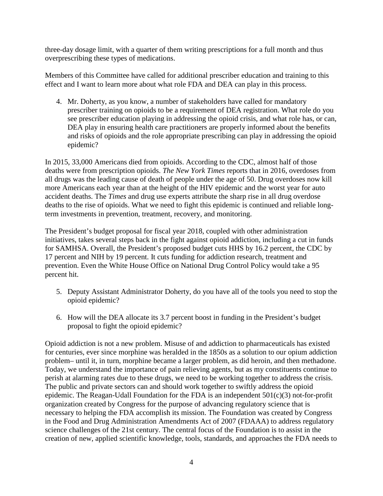three-day dosage limit, with a quarter of them writing prescriptions for a full month and thus overprescribing these types of medications.

Members of this Committee have called for additional prescriber education and training to this effect and I want to learn more about what role FDA and DEA can play in this process.

4. Mr. Doherty, as you know, a number of stakeholders have called for mandatory prescriber training on opioids to be a requirement of DEA registration. What role do you see prescriber education playing in addressing the opioid crisis, and what role has, or can, DEA play in ensuring health care practitioners are properly informed about the benefits and risks of opioids and the role appropriate prescribing can play in addressing the opioid epidemic?

In 2015, 33,000 Americans died from opioids. According to the CDC, almost half of those deaths were from prescription opioids. *The New York Times* reports that in 2016, overdoses from all drugs was the leading cause of death of people under the age of 50. Drug overdoses now kill more Americans each year than at the height of the HIV epidemic and the worst year for auto accident deaths. The *Times* and drug use experts attribute the sharp rise in all drug overdose deaths to the rise of opioids. What we need to fight this epidemic is continued and reliable longterm investments in prevention, treatment, recovery, and monitoring.

The President's budget proposal for fiscal year 2018, coupled with other administration initiatives, takes several steps back in the fight against opioid addiction, including a cut in funds for SAMHSA. Overall, the President's proposed budget cuts HHS by 16.2 percent, the CDC by 17 percent and NIH by 19 percent. It cuts funding for addiction research, treatment and prevention. Even the White House Office on National Drug Control Policy would take a 95 percent hit.

- 5. Deputy Assistant Administrator Doherty, do you have all of the tools you need to stop the opioid epidemic?
- 6. How will the DEA allocate its 3.7 percent boost in funding in the President's budget proposal to fight the opioid epidemic?

Opioid addiction is not a new problem. Misuse of and addiction to pharmaceuticals has existed for centuries, ever since morphine was heralded in the 1850s as a solution to our opium addiction problem– until it, in turn, morphine became a larger problem, as did heroin, and then methadone. Today, we understand the importance of pain relieving agents, but as my constituents continue to perish at alarming rates due to these drugs, we need to be working together to address the crisis. The public and private sectors can and should work together to swiftly address the opioid epidemic. The Reagan-Udall Foundation for the FDA is an independent 501(c)(3) not-for-profit organization created by Congress for the purpose of advancing regulatory science that is necessary to helping the FDA accomplish its mission. The Foundation was created by Congress in the Food and Drug Administration Amendments Act of 2007 (FDAAA) to address regulatory science challenges of the 21st century. The central focus of the Foundation is to assist in the creation of new, applied scientific knowledge, tools, standards, and approaches the FDA needs to